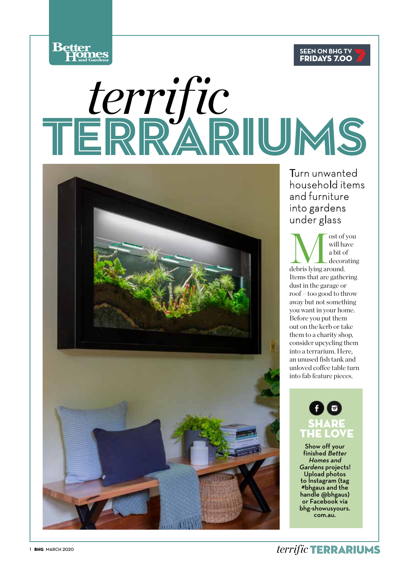



# TERRARIUMS *terrific*



Turn unwanted household items and furniture into gardens under glass

and the set of you will have a bit of decorating debris lying around. will have a bit of decorating Items that are gathering dust in the garage or roof – too good to throw away but not something you want in your home. Before you put them out on the kerb or take them to a charity shop, consider upcycling them into a terrarium. Here, an unused fish tank and unloved coffee table turn into fab feature pieces.

### **SHARE** THE LOVE

Show off your finished Better Homes and Gardens projects! Upload photos to Instagram (tag #bhgaus and the handle @bhgaus) or Facebook via bhg-showusyours. com.au.

*terrific* TERRARIUMS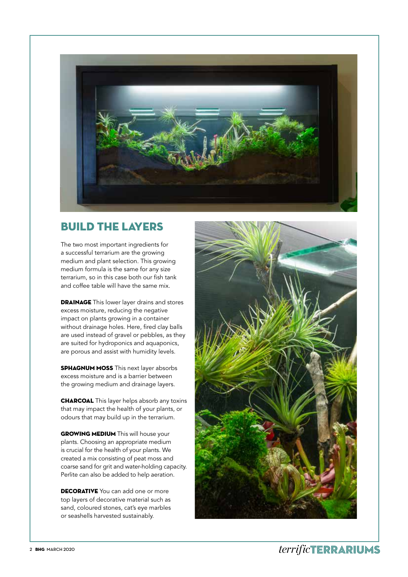

#### BUILD THE LAYERS

The two most important ingredients for a successful terrarium are the growing medium and plant selection. This growing medium formula is the same for any size terrarium, so in this case both our fish tank and coffee table will have the same mix.

**DRAINAGE** This lower layer drains and stores excess moisture, reducing the negative impact on plants growing in a container without drainage holes. Here, fired clay balls are used instead of gravel or pebbles, as they are suited for hydroponics and aquaponics, are porous and assist with humidity levels.

**SPHAGNUM MOSS** This next layer absorbs excess moisture and is a barrier between the growing medium and drainage layers.

**CHARCOAL** This layer helps absorb any toxins that may impact the health of your plants, or odours that may build up in the terrarium.

**GROWING MEDIUM** This will house your plants. Choosing an appropriate medium is crucial for the health of your plants. We created a mix consisting of peat moss and coarse sand for grit and water-holding capacity. Perlite can also be added to help aeration.

**DECORATIVE** You can add one or more top layers of decorative material such as sand, coloured stones, cat's eye marbles or seashells harvested sustainably.

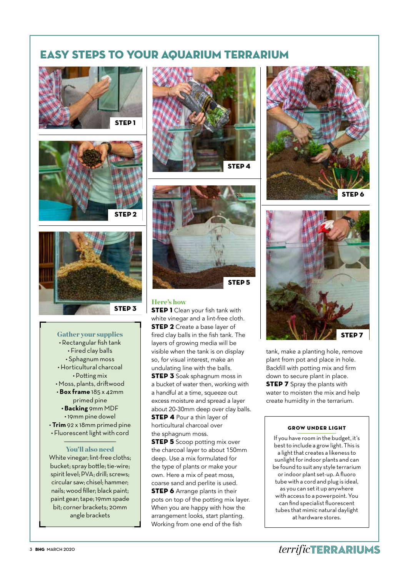#### EASY STEPS TO YOUR AQUARIUM TERRARIUM







• Rectangular fish tank • Fired clay balls • Sphagnum moss • Horticultural charcoal • Potting mix • Moss, plants, driftwood • **Box frame** 185 x 42mm primed pine **• Backing** 9mm MDF

- 19mm pine dowel
- **Trim** 92 x 18mm primed pine • Fluorescent light with cord

#### You'll also need

White vinegar; lint-free cloths; bucket; spray bottle; tie-wire; spirit level; PVA; drill; screws; circular saw; chisel; hammer; nails; wood filler; black paint; paint gear; tape; 19mm spade bit; corner brackets; 20mm angle brackets





#### Here's how

**STEP 1** Clean your fish tank with white vinegar and a lint-free cloth. **STEP 2** Create a base laver of layers of growing media will be visible when the tank is on display so, for visual interest, make an undulating line with the balls.

**STEP 3** Soak sphagnum moss in a bucket of water then, working with a handful at a time, squeeze out excess moisture and spread a layer about 20-30mm deep over clay balls. **STEP 4 Pour a thin layer of** horticultural charcoal over the sphagnum moss.

**STEP 5** Scoop potting mix over the charcoal layer to about 150mm deep. Use a mix formulated for the type of plants or make your own. Here a mix of peat moss, coarse sand and perlite is used. **STEP 6** Arrange plants in their pots on top of the potting mix layer. When you are happy with how the arrangement looks, start planting. Working from one end of the fish





tank, make a planting hole, remove plant from pot and place in hole. Backfill with potting mix and firm down to secure plant in place. **STEP 7** Spray the plants with water to moisten the mix and help create humidity in the terrarium.

#### GROW UNDER LIGHT

If you have room in the budget, it's best to include a grow light. This is a light that creates a likeness to sunlight for indoor plants and can be found to suit any style terrarium or indoor plant set-up. A fluoro tube with a cord and plug is ideal, as you can set it up anywhere with access to a powerpoint. You can find specialist fluorescent tubes that mimic natural daylight at hardware stores.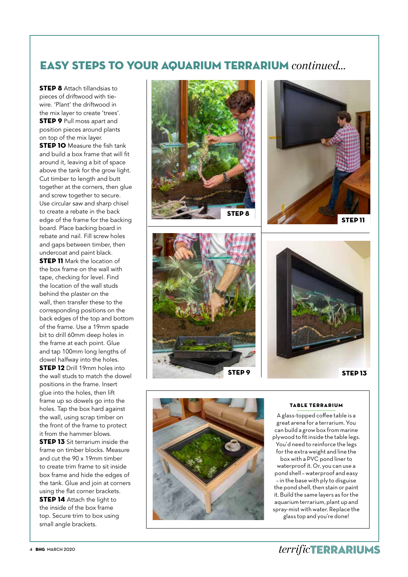#### EASY STEPS TO YOUR AQUARIUM TERRARIUM *continued...*

**STEP 8** Attach tillandsias to pieces of driftwood with tiewire. 'Plant' the driftwood in the mix layer to create 'trees'. **STEP 9 Pull moss apart and** position pieces around plants on top of the mix layer. **STEP 10** Measure the fish tank and build a box frame that will fit around it, leaving a bit of space above the tank for the grow light. Cut timber to length and butt together at the corners, then glue and screw together to secure. Use circular saw and sharp chisel to create a rebate in the back edge of the frame for the backing board. Place backing board in rebate and nail. Fill screw holes and gaps between timber, then undercoat and paint black. **STEP 11** Mark the location of the box frame on the wall with tape, checking for level. Find the location of the wall studs behind the plaster on the wall, then transfer these to the corresponding positions on the back edges of the top and bottom of the frame. Use a 19mm spade bit to drill 60mm deep holes in the frame at each point. Glue and tap 100mm long lengths of dowel halfway into the holes. **STEP 12** Drill 19mm holes into the wall studs to match the dowel positions in the frame. Insert glue into the holes, then lift frame up so dowels go into the holes. Tap the box hard against the wall, using scrap timber on the front of the frame to protect it from the hammer blows. **STEP 13** Sit terrarium inside the frame on timber blocks. Measure and cut the 90 x 19mm timber to create trim frame to sit inside box frame and hide the edges of the tank. Glue and join at corners using the flat corner brackets. **STEP 14** Attach the light to the inside of the box frame top. Secure trim to box using small angle brackets.





#### TABLE TERRARIUM

A glass-topped coffee table is a great arena for a terrarium. You can build a grow box from marine plywood to fit inside the table legs. You'd need to reinforce the legs for the extra weight and line the box with a PVC pond liner to waterproof it. Or, you can use a pond shell – waterproof and easy – in the base with ply to disguise the pond shell, then stain or paint it. Build the same layers as for the aquarium terrarium, plant up and spray-mist with water. Replace the glass top and you're done!